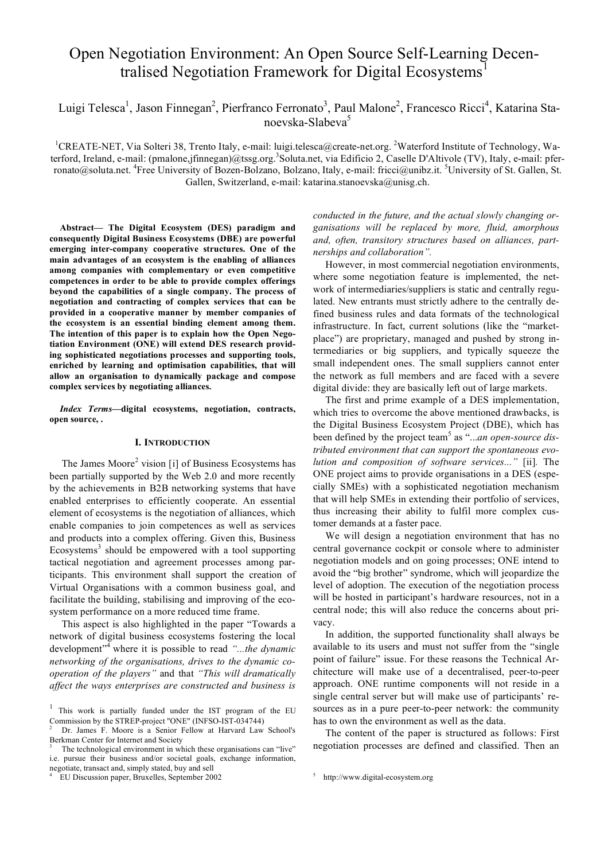# Open Negotiation Environment: An Open Source Self-Learning Decentralised Negotiation Framework for Digital Ecosystems<sup>1</sup>

Luigi Telesca<sup>1</sup>, Jason Finnegan<sup>2</sup>, Pierfranco Ferronato<sup>3</sup>, Paul Malone<sup>2</sup>, Francesco Ricci<sup>4</sup>, Katarina Stanoevska-Slabeva<sup>5</sup>

<sup>1</sup>CREATE-NET, Via Solteri 38, Trento Italy, e-mail: luigi.telesca@create-net.org. <sup>2</sup>Waterford Institute of Technology, Waterford, Ireland, e-mail: (pmalone,jfinnegan)@tssg.org.<sup>3</sup>Soluta.net, via Edificio 2, Caselle D'Altivole (TV), Italy, e-mail: pferronato@soluta.net. <sup>4</sup>Free University of Bozen-Bolzano, Bolzano, Italy, e-mail: fricci@unibz.it. <sup>5</sup>University of St. Gallen, St. Gallen, Switzerland, e-mail: katarina.stanoevska@unisg.ch.

**Abstract— The Digital Ecosystem (DES) paradigm and consequently Digital Business Ecosystems (DBE) are powerful emerging inter-company cooperative structures. One of the main advantages of an ecosystem is the enabling of alliances among companies with complementary or even competitive competences in order to be able to provide complex offerings beyond the capabilities of a single company. The process of negotiation and contracting of complex services that can be provided in a cooperative manner by member companies of the ecosystem is an essential binding element among them. The intention of this paper is to explain how the Open Negotiation Environment (ONE) will extend DES research providing sophisticated negotiations processes and supporting tools, enriched by learning and optimisation capabilities, that will allow an organisation to dynamically package and compose complex services by negotiating alliances.**

*Index Terms***—digital ecosystems, negotiation, contracts, open source, .**

#### **I. INTRODUCTION**

The James Moore<sup>2</sup> vision [i] of Business Ecosystems has been partially supported by the Web 2.0 and more recently by the achievements in B2B networking systems that have enabled enterprises to efficiently cooperate. An essential element of ecosystems is the negotiation of alliances, which enable companies to join competences as well as services and products into a complex offering. Given this, Business Ecosystems<sup>3</sup> should be empowered with a tool supporting tactical negotiation and agreement processes among participants. This environment shall support the creation of Virtual Organisations with a common business goal, and facilitate the building, stabilising and improving of the ecosystem performance on a more reduced time frame.

This aspect is also highlighted in the paper "Towards a network of digital business ecosystems fostering the local development" <sup>4</sup> where it is possible to read *"...the dynamic networking of the organisations, drives to the dynamic cooperation of the players"* and that *"This will dramatically affect the ways enterprises are constructed and business is*

<sup>2</sup> Dr. James F. Moore is a Senior Fellow at Harvard Law School's Berkman Center for Internet and Society

The technological environment in which these organisations can "live" i.e. pursue their business and/or societal goals, exchange information, negotiate, transact and, simply stated, buy and sell

<sup>4</sup> EU Discussion paper, Bruxelles, September 2002

*conducted in the future, and the actual slowly changing organisations will be replaced by more, fluid, amorphous and, often, transitory structures based on alliances, partnerships and collaboration".*

However, in most commercial negotiation environments, where some negotiation feature is implemented, the network of intermediaries/suppliers is static and centrally regulated. New entrants must strictly adhere to the centrally defined business rules and data formats of the technological infrastructure. In fact, current solutions (like the "marketplace") are proprietary, managed and pushed by strong intermediaries or big suppliers, and typically squeeze the small independent ones. The small suppliers cannot enter the network as full members and are faced with a severe digital divide: they are basically left out of large markets.

The first and prime example of a DES implementation, which tries to overcome the above mentioned drawbacks, is the Digital Business Ecosystem Project (DBE), which has been defined by the project team<sup>5</sup> as "...*an open-source distributed environment that can support the spontaneous evolution and composition of software services..."* [ii]*.* The ONE project aims to provide organisations in a DES (especially SMEs) with a sophisticated negotiation mechanism that will help SMEs in extending their portfolio of services, thus increasing their ability to fulfil more complex customer demands at a faster pace.

We will design a negotiation environment that has no central governance cockpit or console where to administer negotiation models and on going processes; ONE intend to avoid the "big brother" syndrome, which will jeopardize the level of adoption. The execution of the negotiation process will be hosted in participant's hardware resources, not in a central node; this will also reduce the concerns about privacy.

In addition, the supported functionality shall always be available to its users and must not suffer from the "single point of failure" issue. For these reasons the Technical Architecture will make use of a decentralised, peer-to-peer approach. ONE runtime components will not reside in a single central server but will make use of participants' resources as in a pure peer-to-peer network: the community has to own the environment as well as the data.

The content of the paper is structured as follows: First negotiation processes are defined and classified. Then an

<sup>1</sup> This work is partially funded under the IST program of the EU Commission by the STREP-project "ONE" (INFSO-IST-034744)

<sup>5</sup> http://www.digital-ecosystem.org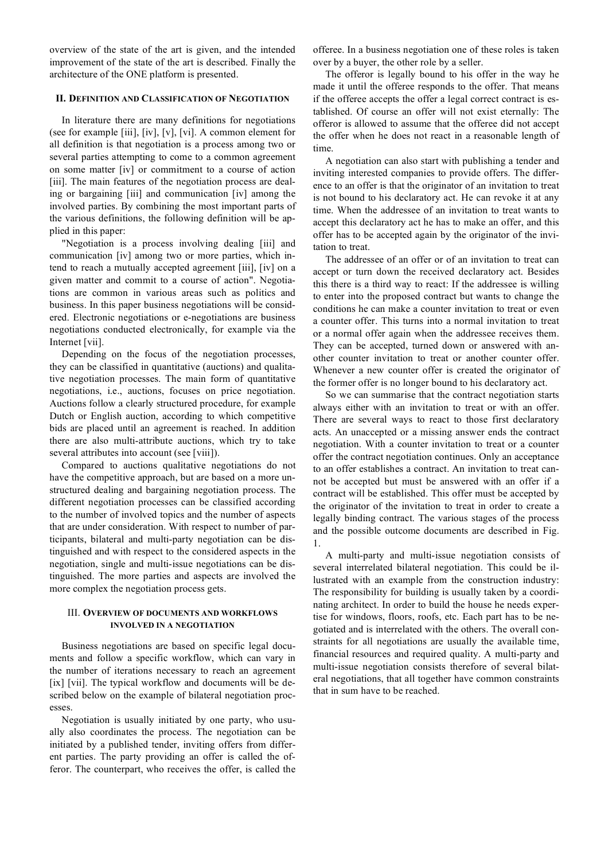overview of the state of the art is given, and the intended improvement of the state of the art is described. Finally the architecture of the ONE platform is presented.

# **II. DEFINITION AND CLASSIFICATION OF NEGOTIATION**

In literature there are many definitions for negotiations (see for example [iii], [iv], [v], [vi]. A common element for all definition is that negotiation is a process among two or several parties attempting to come to a common agreement on some matter [iv] or commitment to a course of action [iii]. The main features of the negotiation process are dealing or bargaining [iii] and communication [iv] among the involved parties. By combining the most important parts of the various definitions, the following definition will be applied in this paper:

"Negotiation is a process involving dealing [iii] and communication [iv] among two or more parties, which intend to reach a mutually accepted agreement [iii], [iv] on a given matter and commit to a course of action". Negotiations are common in various areas such as politics and business. In this paper business negotiations will be considered. Electronic negotiations or e-negotiations are business negotiations conducted electronically, for example via the Internet [vii].

Depending on the focus of the negotiation processes, they can be classified in quantitative (auctions) and qualitative negotiation processes. The main form of quantitative negotiations, i.e., auctions, focuses on price negotiation. Auctions follow a clearly structured procedure, for example Dutch or English auction, according to which competitive bids are placed until an agreement is reached. In addition there are also multi-attribute auctions, which try to take several attributes into account (see [viii]).

Compared to auctions qualitative negotiations do not have the competitive approach, but are based on a more unstructured dealing and bargaining negotiation process. The different negotiation processes can be classified according to the number of involved topics and the number of aspects that are under consideration. With respect to number of participants, bilateral and multi-party negotiation can be distinguished and with respect to the considered aspects in the negotiation, single and multi-issue negotiations can be distinguished. The more parties and aspects are involved the more complex the negotiation process gets.

# III. **OVERVIEW OF DOCUMENTS AND WORKFLOWS INVOLVED IN A NEGOTIATION**

Business negotiations are based on specific legal documents and follow a specific workflow, which can vary in the number of iterations necessary to reach an agreement [ix] [vii]. The typical workflow and documents will be described below on the example of bilateral negotiation processes.

Negotiation is usually initiated by one party, who usually also coordinates the process. The negotiation can be initiated by a published tender, inviting offers from different parties. The party providing an offer is called the offeror. The counterpart, who receives the offer, is called the offeree. In a business negotiation one of these roles is taken over by a buyer, the other role by a seller.

The offeror is legally bound to his offer in the way he made it until the offeree responds to the offer. That means if the offeree accepts the offer a legal correct contract is established. Of course an offer will not exist eternally: The offeror is allowed to assume that the offeree did not accept the offer when he does not react in a reasonable length of time.

A negotiation can also start with publishing a tender and inviting interested companies to provide offers. The difference to an offer is that the originator of an invitation to treat is not bound to his declaratory act. He can revoke it at any time. When the addressee of an invitation to treat wants to accept this declaratory act he has to make an offer, and this offer has to be accepted again by the originator of the invitation to treat.

The addressee of an offer or of an invitation to treat can accept or turn down the received declaratory act. Besides this there is a third way to react: If the addressee is willing to enter into the proposed contract but wants to change the conditions he can make a counter invitation to treat or even a counter offer. This turns into a normal invitation to treat or a normal offer again when the addressee receives them. They can be accepted, turned down or answered with another counter invitation to treat or another counter offer. Whenever a new counter offer is created the originator of the former offer is no longer bound to his declaratory act.

So we can summarise that the contract negotiation starts always either with an invitation to treat or with an offer. There are several ways to react to those first declaratory acts. An unaccepted or a missing answer ends the contract negotiation. With a counter invitation to treat or a counter offer the contract negotiation continues. Only an acceptance to an offer establishes a contract. An invitation to treat cannot be accepted but must be answered with an offer if a contract will be established. This offer must be accepted by the originator of the invitation to treat in order to create a legally binding contract. The various stages of the process and the possible outcome documents are described in Fig. 1.

A multi-party and multi-issue negotiation consists of several interrelated bilateral negotiation. This could be illustrated with an example from the construction industry: The responsibility for building is usually taken by a coordinating architect. In order to build the house he needs expertise for windows, floors, roofs, etc. Each part has to be negotiated and is interrelated with the others. The overall constraints for all negotiations are usually the available time, financial resources and required quality. A multi-party and multi-issue negotiation consists therefore of several bilateral negotiations, that all together have common constraints that in sum have to be reached.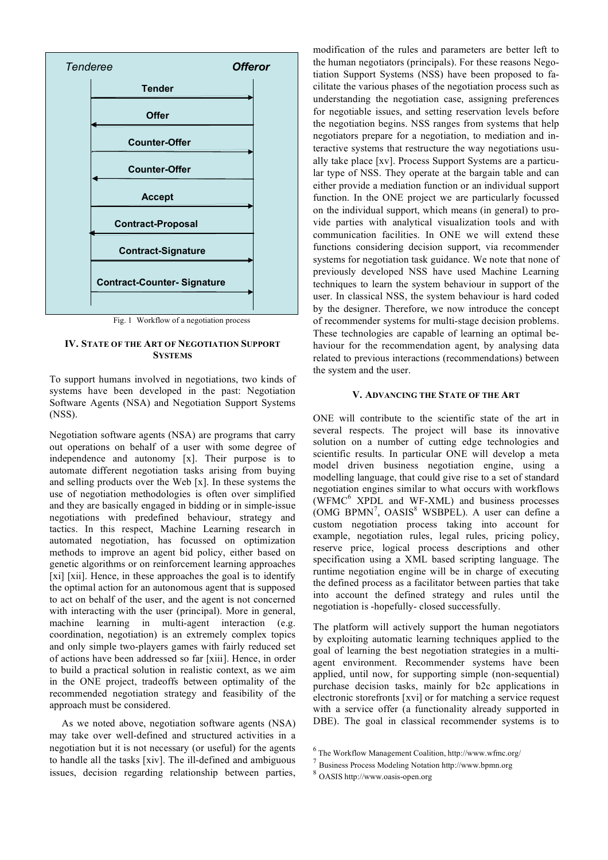

Fig. 1 Workflow of a negotiation process

# **IV. STATE OF THE ART OF NEGOTIATION SUPPORT SYSTEMS**

To support humans involved in negotiations, two kinds of systems have been developed in the past: Negotiation Software Agents (NSA) and Negotiation Support Systems (NSS).

Negotiation software agents (NSA) are programs that carry out operations on behalf of a user with some degree of independence and autonomy [x]. Their purpose is to automate different negotiation tasks arising from buying and selling products over the Web [x]. In these systems the use of negotiation methodologies is often over simplified and they are basically engaged in bidding or in simple-issue negotiations with predefined behaviour, strategy and tactics. In this respect, Machine Learning research in automated negotiation, has focussed on optimization methods to improve an agent bid policy, either based on genetic algorithms or on reinforcement learning approaches [xi] [xii]. Hence, in these approaches the goal is to identify the optimal action for an autonomous agent that is supposed to act on behalf of the user, and the agent is not concerned with interacting with the user (principal). More in general, machine learning in multi-agent interaction (e.g. coordination, negotiation) is an extremely complex topics and only simple two-players games with fairly reduced set of actions have been addressed so far [xiii]. Hence, in order to build a practical solution in realistic context, as we aim in the ONE project, tradeoffs between optimality of the recommended negotiation strategy and feasibility of the approach must be considered.

As we noted above, negotiation software agents (NSA) may take over well-defined and structured activities in a negotiation but it is not necessary (or useful) for the agents to handle all the tasks [xiv]. The ill-defined and ambiguous issues, decision regarding relationship between parties,

modification of the rules and parameters are better left to the human negotiators (principals). For these reasons Negotiation Support Systems (NSS) have been proposed to facilitate the various phases of the negotiation process such as understanding the negotiation case, assigning preferences for negotiable issues, and setting reservation levels before the negotiation begins. NSS ranges from systems that help negotiators prepare for a negotiation, to mediation and interactive systems that restructure the way negotiations usually take place [xv]. Process Support Systems are a particular type of NSS. They operate at the bargain table and can either provide a mediation function or an individual support function. In the ONE project we are particularly focussed on the individual support, which means (in general) to provide parties with analytical visualization tools and with communication facilities. In ONE we will extend these functions considering decision support, via recommender systems for negotiation task guidance. We note that none of previously developed NSS have used Machine Learning techniques to learn the system behaviour in support of the user. In classical NSS, the system behaviour is hard coded by the designer. Therefore, we now introduce the concept of recommender systems for multi-stage decision problems. These technologies are capable of learning an optimal behaviour for the recommendation agent, by analysing data related to previous interactions (recommendations) between the system and the user.

#### **V. ADVANCING THE STATE OF THE ART**

ONE will contribute to the scientific state of the art in several respects. The project will base its innovative solution on a number of cutting edge technologies and scientific results. In particular ONE will develop a meta model driven business negotiation engine, using a modelling language, that could give rise to a set of standard negotiation engines similar to what occurs with workflows (WFMC $<sup>6</sup>$  XPDL and WF-XML) and business processes</sup> (OMG BPMN<sup>7</sup>, OASIS<sup>8</sup> WSBPEL). A user can define a custom negotiation process taking into account for example, negotiation rules, legal rules, pricing policy, reserve price, logical process descriptions and other specification using a XML based scripting language. The runtime negotiation engine will be in charge of executing the defined process as a facilitator between parties that take into account the defined strategy and rules until the negotiation is -hopefully- closed successfully.

The platform will actively support the human negotiators by exploiting automatic learning techniques applied to the goal of learning the best negotiation strategies in a multiagent environment. Recommender systems have been applied, until now, for supporting simple (non-sequential) purchase decision tasks, mainly for b2c applications in electronic storefronts [xvi] or for matching a service request with a service offer (a functionality already supported in DBE). The goal in classical recommender systems is to

<sup>6</sup> The Workflow Management Coalition, http://www.wfmc.org/

<sup>7</sup> Business Process Modeling Notation http://www.bpmn.org <sup>8</sup> OASIS http://www.oasis-open.org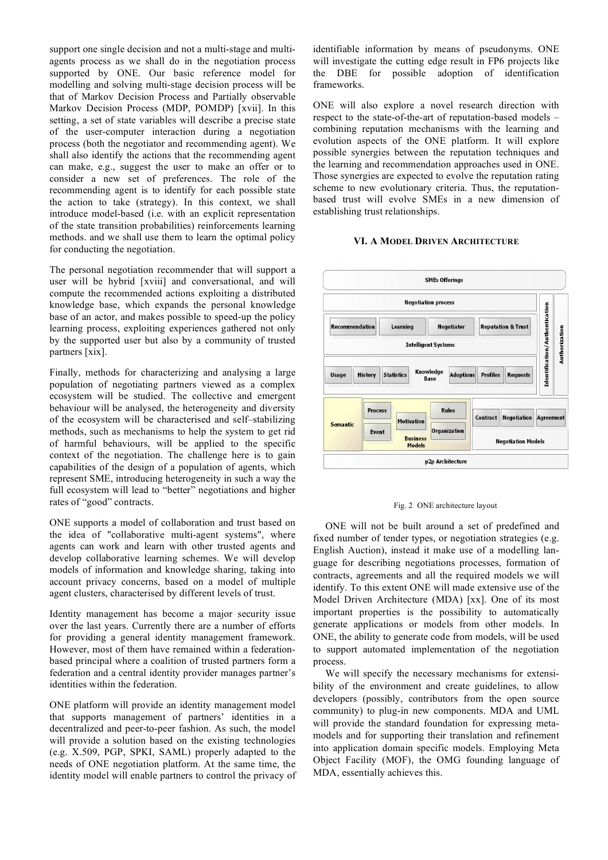support one single decision and not a multi-stage and multiagents process as we shall do in the negotiation process supported by ONE. Our basic reference model for modelling and solving multi-stage decision process will be that of Markov Decision Process and Partially observable Markov Decision Process (MDP, POMDP) [xvii]. In this setting, a set of state variables will describe a precise state of the user-computer interaction during a negotiation process (both the negotiator and recommending agent). We shall also identify the actions that the recommending agent can make, e.g., suggest the user to make an offer or to consider a new set of preferences. The role of the recommending agent is to identify for each possible state the action to take (strategy). In this context, we shall introduce model-based (i.e. with an explicit representation of the state transition probabilities) reinforcements learning methods. and we shall use them to learn the optimal policy for conducting the negotiation.

The personal negotiation recommender that will support a user will be hybrid [xviii] and conversational, and will compute the recommended actions exploiting a distributed knowledge base, which expands the personal knowledge base of an actor, and makes possible to speed-up the policy learning process, exploiting experiences gathered not only by the supported user but also by a community of trusted partners [xix].

Finally, methods for characterizing and analysing a large population of negotiating partners viewed as a complex ecosystem will be studied. The collective and emergent behaviour will be analysed, the heterogeneity and diversity of the ecosystem will be characterised and self–stabilizing methods, such as mechanisms to help the system to get rid of harmful behaviours, will be applied to the specific context of the negotiation. The challenge here is to gain capabilities of the design of a population of agents, which represent SME, introducing heterogeneity in such a way the full ecosystem will lead to "better" negotiations and higher rates of "good" contracts.

ONE supports a model of collaboration and trust based on the idea of "collaborative multi-agent systems", where agents can work and learn with other trusted agents and develop collaborative learning schemes. We will develop models of information and knowledge sharing, taking into account privacy concerns, based on a model of multiple agent clusters, characterised by different levels of trust.

Identity management has become a major security issue over the last years. Currently there are a number of efforts for providing a general identity management framework. However, most of them have remained within a federationbased principal where a coalition of trusted partners form a federation and a central identity provider manages partner's identities within the federation.

ONE platform will provide an identity management model that supports management of partners' identities in a decentralized and peer-to-peer fashion. As such, the model will provide a solution based on the existing technologies (e.g. X.509, PGP, SPKI, SAML) properly adapted to the needs of ONE negotiation platform. At the same time, the identity model will enable partners to control the privacy of identifiable information by means of pseudonyms. ONE will investigate the cutting edge result in FP6 projects like the DBE for possible adoption of identification frameworks.

ONE will also explore a novel research direction with respect to the state-of-the-art of reputation-based models – combining reputation mechanisms with the learning and evolution aspects of the ONE platform. It will explore possible synergies between the reputation techniques and the learning and recommendation approaches used in ONE. Those synergies are expected to evolve the reputation rating scheme to new evolutionary criteria. Thus, the reputationbased trust will evolve SMEs in a new dimension of establishing trust relationships.

# **VI. A MODEL DRIVEN ARCHITECTURE**



#### Fig. 2 ONE architecture layout

ONE will not be built around a set of predefined and fixed number of tender types, or negotiation strategies (e.g. English Auction), instead it make use of a modelling language for describing negotiations processes, formation of contracts, agreements and all the required models we will identify. To this extent ONE will made extensive use of the Model Driven Architecture (MDA) [xx]. One of its most important properties is the possibility to automatically generate applications or models from other models. In ONE, the ability to generate code from models, will be used to support automated implementation of the negotiation process.

We will specify the necessary mechanisms for extensibility of the environment and create guidelines, to allow developers (possibly, contributors from the open source community) to plug-in new components. MDA and UML will provide the standard foundation for expressing metamodels and for supporting their translation and refinement into application domain specific models. Employing Meta Object Facility (MOF), the OMG founding language of MDA, essentially achieves this.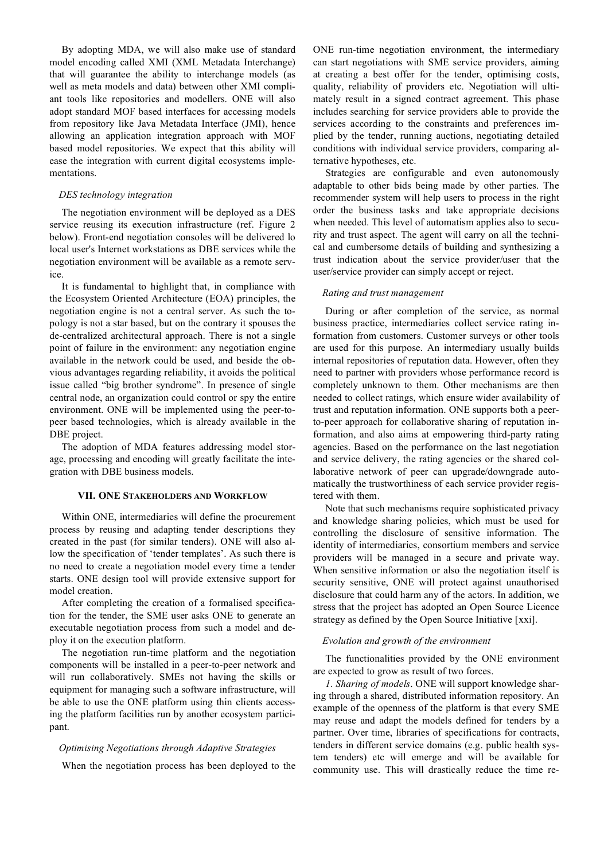By adopting MDA, we will also make use of standard model encoding called XMI (XML Metadata Interchange) that will guarantee the ability to interchange models (as well as meta models and data) between other XMI compliant tools like repositories and modellers. ONE will also adopt standard MOF based interfaces for accessing models from repository like Java Metadata Interface (JMI), hence allowing an application integration approach with MOF based model repositories. We expect that this ability will ease the integration with current digital ecosystems implementations.

# *DES technology integration*

The negotiation environment will be deployed as a DES service reusing its execution infrastructure (ref. Figure 2 below). Front-end negotiation consoles will be delivered lo local user's Internet workstations as DBE services while the negotiation environment will be available as a remote service.

It is fundamental to highlight that, in compliance with the Ecosystem Oriented Architecture (EOA) principles, the negotiation engine is not a central server. As such the topology is not a star based, but on the contrary it spouses the de-centralized architectural approach. There is not a single point of failure in the environment: any negotiation engine available in the network could be used, and beside the obvious advantages regarding reliability, it avoids the political issue called "big brother syndrome". In presence of single central node, an organization could control or spy the entire environment. ONE will be implemented using the peer-topeer based technologies, which is already available in the DBE project.

The adoption of MDA features addressing model storage, processing and encoding will greatly facilitate the integration with DBE business models.

# **VII. ONE STAKEHOLDERS AND WORKFLOW**

Within ONE, intermediaries will define the procurement process by reusing and adapting tender descriptions they created in the past (for similar tenders). ONE will also allow the specification of 'tender templates'. As such there is no need to create a negotiation model every time a tender starts. ONE design tool will provide extensive support for model creation.

After completing the creation of a formalised specification for the tender, the SME user asks ONE to generate an executable negotiation process from such a model and deploy it on the execution platform.

The negotiation run-time platform and the negotiation components will be installed in a peer-to-peer network and will run collaboratively. SMEs not having the skills or equipment for managing such a software infrastructure, will be able to use the ONE platform using thin clients accessing the platform facilities run by another ecosystem participant.

# *Optimising Negotiations through Adaptive Strategies*

When the negotiation process has been deployed to the

ONE run-time negotiation environment, the intermediary can start negotiations with SME service providers, aiming at creating a best offer for the tender, optimising costs, quality, reliability of providers etc. Negotiation will ultimately result in a signed contract agreement. This phase includes searching for service providers able to provide the services according to the constraints and preferences implied by the tender, running auctions, negotiating detailed conditions with individual service providers, comparing alternative hypotheses, etc.

Strategies are configurable and even autonomously adaptable to other bids being made by other parties. The recommender system will help users to process in the right order the business tasks and take appropriate decisions when needed. This level of automatism applies also to security and trust aspect. The agent will carry on all the technical and cumbersome details of building and synthesizing a trust indication about the service provider/user that the user/service provider can simply accept or reject.

# *Rating and trust management*

During or after completion of the service, as normal business practice, intermediaries collect service rating information from customers. Customer surveys or other tools are used for this purpose. An intermediary usually builds internal repositories of reputation data. However, often they need to partner with providers whose performance record is completely unknown to them. Other mechanisms are then needed to collect ratings, which ensure wider availability of trust and reputation information. ONE supports both a peerto-peer approach for collaborative sharing of reputation information, and also aims at empowering third-party rating agencies. Based on the performance on the last negotiation and service delivery, the rating agencies or the shared collaborative network of peer can upgrade/downgrade automatically the trustworthiness of each service provider registered with them.

Note that such mechanisms require sophisticated privacy and knowledge sharing policies, which must be used for controlling the disclosure of sensitive information. The identity of intermediaries, consortium members and service providers will be managed in a secure and private way. When sensitive information or also the negotiation itself is security sensitive, ONE will protect against unauthorised disclosure that could harm any of the actors. In addition, we stress that the project has adopted an Open Source Licence strategy as defined by the Open Source Initiative [xxi].

# *Evolution and growth of the environment*

The functionalities provided by the ONE environment are expected to grow as result of two forces.

*1. Sharing of models*. ONE will support knowledge sharing through a shared, distributed information repository. An example of the openness of the platform is that every SME may reuse and adapt the models defined for tenders by a partner. Over time, libraries of specifications for contracts, tenders in different service domains (e.g. public health system tenders) etc will emerge and will be available for community use. This will drastically reduce the time re